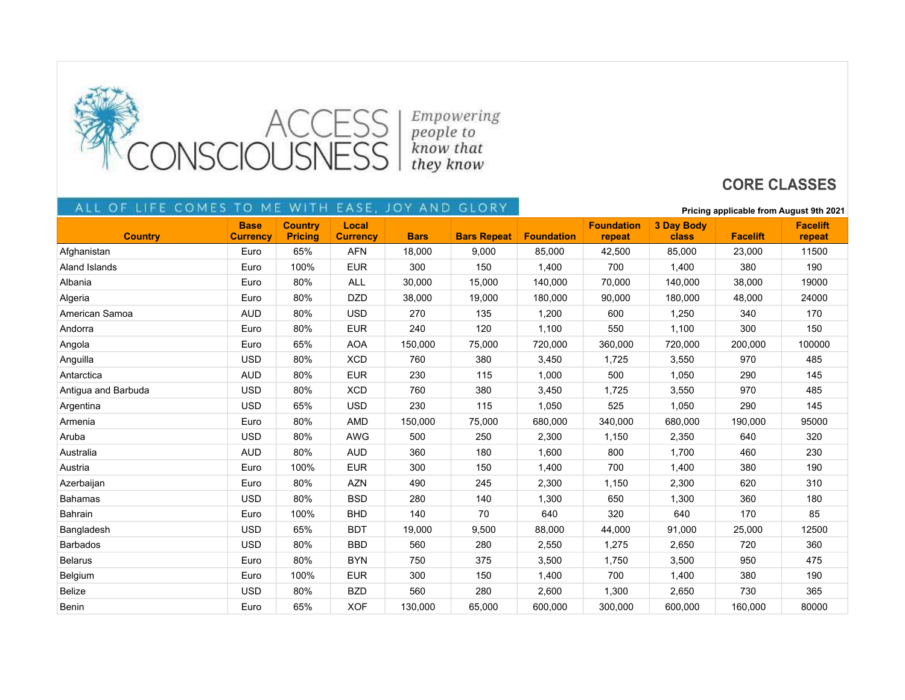

## **CORE CLASSES**

## FE COMES TO ME WITH EASE, JOY AND GLORY ALI  $O F$

| ALL OF LIFE COMES TO | ME.                            | WIIH                             |                          | EASE, JOY AND GLORY |                    |                   | Pricing applicable from August 9th 2021 |                            |                 |                           |
|----------------------|--------------------------------|----------------------------------|--------------------------|---------------------|--------------------|-------------------|-----------------------------------------|----------------------------|-----------------|---------------------------|
| <b>Country</b>       | <b>Base</b><br><b>Currency</b> | <b>Country</b><br><b>Pricing</b> | Local<br><b>Currency</b> | <b>Bars</b>         | <b>Bars Repeat</b> | <b>Foundation</b> | <b>Foundation</b><br>repeat             | <b>3 Day Body</b><br>class | <b>Facelift</b> | <b>Facelift</b><br>repeat |
| Afghanistan          | Euro                           | 65%                              | AFN                      | 18,000              | 9,000              | 85,000            | 42,500                                  | 85,000                     | 23,000          | 11500                     |
| Aland Islands        | Euro                           | 100%                             | <b>EUR</b>               | 300                 | 150                | 1,400             | 700                                     | 1,400                      | 380             | 190                       |
| Albania              | Euro                           | 80%                              | <b>ALL</b>               | 30,000              | 15,000             | 140,000           | 70,000                                  | 140,000                    | 38,000          | 19000                     |
| Algeria              | Euro                           | 80%                              | <b>DZD</b>               | 38,000              | 19,000             | 180,000           | 90,000                                  | 180,000                    | 48,000          | 24000                     |
| American Samoa       | <b>AUD</b>                     | 80%                              | <b>USD</b>               | 270                 | 135                | 1,200             | 600                                     | 1,250                      | 340             | 170                       |
| Andorra              | Euro                           | 80%                              | <b>EUR</b>               | 240                 | 120                | 1,100             | 550                                     | 1,100                      | 300             | 150                       |
| Angola               | Euro                           | 65%                              | <b>AOA</b>               | 150,000             | 75,000             | 720,000           | 360,000                                 | 720,000                    | 200,000         | 100000                    |
| Anguilla             | <b>USD</b>                     | 80%                              | <b>XCD</b>               | 760                 | 380                | 3,450             | 1,725                                   | 3,550                      | 970             | 485                       |
| Antarctica           | <b>AUD</b>                     | 80%                              | <b>EUR</b>               | 230                 | 115                | 1,000             | 500                                     | 1,050                      | 290             | 145                       |
| Antigua and Barbuda  | <b>USD</b>                     | 80%                              | <b>XCD</b>               | 760                 | 380                | 3,450             | 1,725                                   | 3,550                      | 970             | 485                       |
| Argentina            | <b>USD</b>                     | 65%                              | <b>USD</b>               | 230                 | 115                | 1,050             | 525                                     | 1,050                      | 290             | 145                       |
| Armenia              | Euro                           | 80%                              | AMD                      | 150,000             | 75,000             | 680,000           | 340,000                                 | 680,000                    | 190,000         | 95000                     |
| Aruba                | <b>USD</b>                     | 80%                              | <b>AWG</b>               | 500                 | 250                | 2,300             | 1,150                                   | 2,350                      | 640             | 320                       |
| Australia            | <b>AUD</b>                     | 80%                              | <b>AUD</b>               | 360                 | 180                | 1,600             | 800                                     | 1,700                      | 460             | 230                       |
| Austria              | Euro                           | 100%                             | <b>EUR</b>               | 300                 | 150                | 1,400             | 700                                     | 1,400                      | 380             | 190                       |
| Azerbaijan           | Euro                           | 80%                              | <b>AZN</b>               | 490                 | 245                | 2,300             | 1,150                                   | 2,300                      | 620             | 310                       |
| <b>Bahamas</b>       | <b>USD</b>                     | 80%                              | <b>BSD</b>               | 280                 | 140                | 1,300             | 650                                     | 1,300                      | 360             | 180                       |
| Bahrain              | Euro                           | 100%                             | <b>BHD</b>               | 140                 | 70                 | 640               | 320                                     | 640                        | 170             | 85                        |
| Bangladesh           | <b>USD</b>                     | 65%                              | <b>BDT</b>               | 19,000              | 9,500              | 88,000            | 44,000                                  | 91,000                     | 25,000          | 12500                     |
| <b>Barbados</b>      | <b>USD</b>                     | 80%                              | <b>BBD</b>               | 560                 | 280                | 2,550             | 1,275                                   | 2,650                      | 720             | 360                       |
| <b>Belarus</b>       | Euro                           | 80%                              | <b>BYN</b>               | 750                 | 375                | 3,500             | 1,750                                   | 3,500                      | 950             | 475                       |
| Belgium              | Euro                           | 100%                             | <b>EUR</b>               | 300                 | 150                | 1,400             | 700                                     | 1,400                      | 380             | 190                       |
| <b>Belize</b>        | <b>USD</b>                     | 80%                              | <b>BZD</b>               | 560                 | 280                | 2,600             | 1,300                                   | 2,650                      | 730             | 365                       |
| Benin                | Euro                           | 65%                              | <b>XOF</b>               | 130,000             | 65,000             | 600,000           | 300,000                                 | 600,000                    | 160,000         | 80000                     |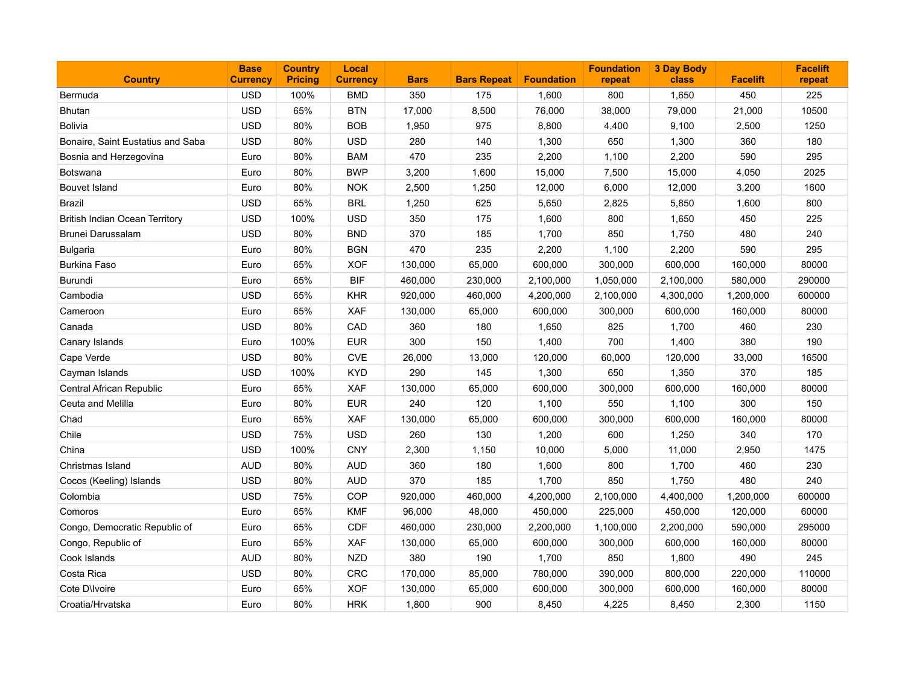| <b>Country</b>                        | <b>Base</b><br><b>Currency</b> | <b>Country</b><br><b>Pricing</b> | Local<br><b>Currency</b> | <b>Bars</b> | <b>Bars Repeat</b> | <b>Foundation</b> | <b>Foundation</b><br>repeat | <b>3 Day Body</b><br>class | <b>Facelift</b> | <b>Facelift</b><br>repeat |
|---------------------------------------|--------------------------------|----------------------------------|--------------------------|-------------|--------------------|-------------------|-----------------------------|----------------------------|-----------------|---------------------------|
| Bermuda                               | <b>USD</b>                     | 100%                             | <b>BMD</b>               | 350         | 175                | 1,600             | 800                         | 1,650                      | 450             | 225                       |
| <b>Bhutan</b>                         | <b>USD</b>                     | 65%                              | <b>BTN</b>               | 17,000      | 8,500              | 76,000            | 38,000                      | 79,000                     | 21,000          | 10500                     |
| <b>Bolivia</b>                        | <b>USD</b>                     | 80%                              | <b>BOB</b>               | 1,950       | 975                | 8,800             | 4,400                       | 9,100                      | 2,500           | 1250                      |
| Bonaire, Saint Eustatius and Saba     | <b>USD</b>                     | 80%                              | <b>USD</b>               | 280         | 140                | 1,300             | 650                         | 1,300                      | 360             | 180                       |
| Bosnia and Herzegovina                | Euro                           | 80%                              | <b>BAM</b>               | 470         | 235                | 2,200             | 1,100                       | 2,200                      | 590             | 295                       |
| <b>Botswana</b>                       | Euro                           | 80%                              | <b>BWP</b>               | 3,200       | 1,600              | 15,000            | 7,500                       | 15,000                     | 4,050           | 2025                      |
| <b>Bouvet Island</b>                  | Euro                           | 80%                              | <b>NOK</b>               | 2,500       | 1,250              | 12,000            | 6,000                       | 12,000                     | 3,200           | 1600                      |
| <b>Brazil</b>                         | <b>USD</b>                     | 65%                              | <b>BRL</b>               | 1,250       | 625                | 5,650             | 2,825                       | 5,850                      | 1,600           | 800                       |
| <b>British Indian Ocean Territory</b> | <b>USD</b>                     | 100%                             | <b>USD</b>               | 350         | 175                | 1,600             | 800                         | 1,650                      | 450             | 225                       |
| Brunei Darussalam                     | <b>USD</b>                     | 80%                              | <b>BND</b>               | 370         | 185                | 1,700             | 850                         | 1,750                      | 480             | 240                       |
| <b>Bulgaria</b>                       | Euro                           | 80%                              | <b>BGN</b>               | 470         | 235                | 2,200             | 1,100                       | 2,200                      | 590             | 295                       |
| <b>Burkina Faso</b>                   | Euro                           | 65%                              | <b>XOF</b>               | 130,000     | 65,000             | 600,000           | 300,000                     | 600,000                    | 160,000         | 80000                     |
| Burundi                               | Euro                           | 65%                              | <b>BIF</b>               | 460,000     | 230,000            | 2,100,000         | 1,050,000                   | 2,100,000                  | 580,000         | 290000                    |
| Cambodia                              | <b>USD</b>                     | 65%                              | <b>KHR</b>               | 920,000     | 460,000            | 4,200,000         | 2,100,000                   | 4,300,000                  | 1,200,000       | 600000                    |
| Cameroon                              | Euro                           | 65%                              | XAF                      | 130,000     | 65,000             | 600,000           | 300,000                     | 600,000                    | 160,000         | 80000                     |
| Canada                                | <b>USD</b>                     | 80%                              | CAD                      | 360         | 180                | 1,650             | 825                         | 1,700                      | 460             | 230                       |
| Canary Islands                        | Euro                           | 100%                             | <b>EUR</b>               | 300         | 150                | 1,400             | 700                         | 1,400                      | 380             | 190                       |
| Cape Verde                            | <b>USD</b>                     | 80%                              | <b>CVE</b>               | 26,000      | 13,000             | 120,000           | 60,000                      | 120,000                    | 33,000          | 16500                     |
| Cayman Islands                        | <b>USD</b>                     | 100%                             | <b>KYD</b>               | 290         | 145                | 1,300             | 650                         | 1,350                      | 370             | 185                       |
| Central African Republic              | Euro                           | 65%                              | <b>XAF</b>               | 130,000     | 65,000             | 600,000           | 300,000                     | 600,000                    | 160,000         | 80000                     |
| Ceuta and Melilla                     | Euro                           | 80%                              | <b>EUR</b>               | 240         | 120                | 1,100             | 550                         | 1,100                      | 300             | 150                       |
| Chad                                  | Euro                           | 65%                              | XAF                      | 130,000     | 65,000             | 600,000           | 300,000                     | 600,000                    | 160,000         | 80000                     |
| Chile                                 | <b>USD</b>                     | 75%                              | <b>USD</b>               | 260         | 130                | 1,200             | 600                         | 1,250                      | 340             | 170                       |
| China                                 | <b>USD</b>                     | 100%                             | <b>CNY</b>               | 2,300       | 1,150              | 10,000            | 5,000                       | 11,000                     | 2,950           | 1475                      |
| Christmas Island                      | <b>AUD</b>                     | 80%                              | <b>AUD</b>               | 360         | 180                | 1,600             | 800                         | 1,700                      | 460             | 230                       |
| Cocos (Keeling) Islands               | <b>USD</b>                     | 80%                              | <b>AUD</b>               | 370         | 185                | 1,700             | 850                         | 1,750                      | 480             | 240                       |
| Colombia                              | <b>USD</b>                     | 75%                              | COP                      | 920,000     | 460,000            | 4,200,000         | 2,100,000                   | 4,400,000                  | 1,200,000       | 600000                    |
| Comoros                               | Euro                           | 65%                              | <b>KMF</b>               | 96,000      | 48,000             | 450,000           | 225,000                     | 450,000                    | 120,000         | 60000                     |
| Congo, Democratic Republic of         | Euro                           | 65%                              | <b>CDF</b>               | 460,000     | 230,000            | 2,200,000         | 1,100,000                   | 2,200,000                  | 590,000         | 295000                    |
| Congo, Republic of                    | Euro                           | 65%                              | <b>XAF</b>               | 130,000     | 65,000             | 600,000           | 300,000                     | 600,000                    | 160,000         | 80000                     |
| Cook Islands                          | <b>AUD</b>                     | 80%                              | <b>NZD</b>               | 380         | 190                | 1,700             | 850                         | 1,800                      | 490             | 245                       |
| Costa Rica                            | <b>USD</b>                     | 80%                              | <b>CRC</b>               | 170,000     | 85,000             | 780,000           | 390,000                     | 800,000                    | 220,000         | 110000                    |
| Cote D\Ivoire                         | Euro                           | 65%                              | <b>XOF</b>               | 130,000     | 65,000             | 600,000           | 300,000                     | 600,000                    | 160,000         | 80000                     |
| Croatia/Hrvatska                      | Euro                           | 80%                              | <b>HRK</b>               | 1,800       | 900                | 8,450             | 4,225                       | 8,450                      | 2,300           | 1150                      |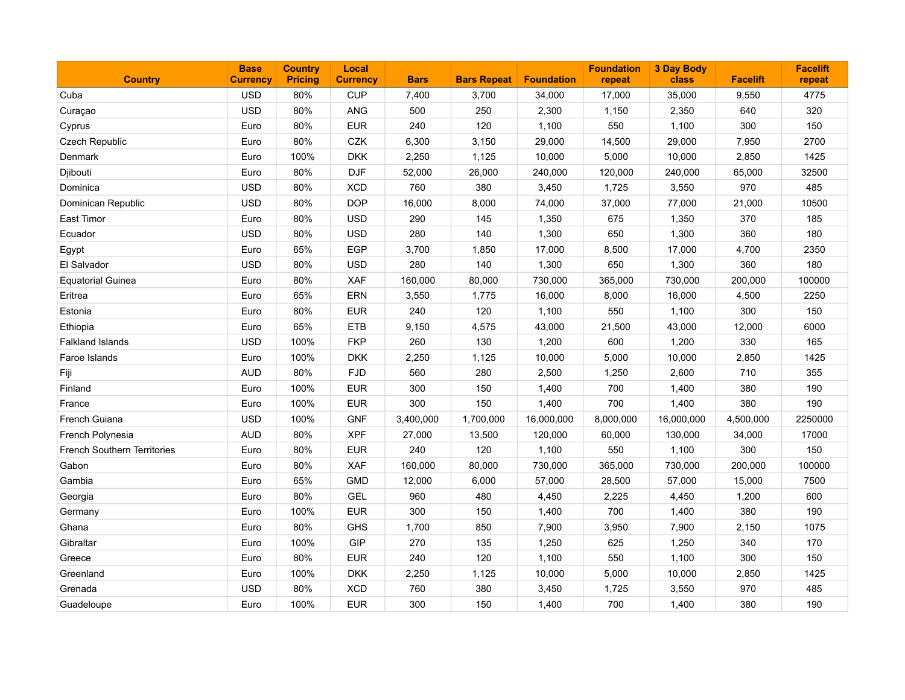| <b>Country</b>                     | <b>Base</b><br><b>Currency</b> | <b>Country</b><br><b>Pricing</b> | Local<br><b>Currency</b> | <b>Bars</b> | <b>Bars Repeat</b> | <b>Foundation</b> | <b>Foundation</b><br>repeat | <b>3 Day Body</b><br>class | <b>Facelift</b> | <b>Facelift</b><br>repeat |
|------------------------------------|--------------------------------|----------------------------------|--------------------------|-------------|--------------------|-------------------|-----------------------------|----------------------------|-----------------|---------------------------|
| Cuba                               | <b>USD</b>                     | 80%                              | <b>CUP</b>               | 7,400       | 3,700              | 34,000            | 17,000                      | 35,000                     | 9,550           | 4775                      |
| Curaçao                            | <b>USD</b>                     | 80%                              | ANG                      | 500         | 250                | 2,300             | 1,150                       | 2,350                      | 640             | 320                       |
| Cyprus                             | Euro                           | 80%                              | <b>EUR</b>               | 240         | 120                | 1,100             | 550                         | 1,100                      | 300             | 150                       |
| Czech Republic                     | Euro                           | 80%                              | CZK                      | 6,300       | 3,150              | 29,000            | 14,500                      | 29,000                     | 7,950           | 2700                      |
| Denmark                            | Euro                           | 100%                             | <b>DKK</b>               | 2,250       | 1,125              | 10,000            | 5,000                       | 10,000                     | 2,850           | 1425                      |
| Djibouti                           | Euro                           | 80%                              | <b>DJF</b>               | 52,000      | 26,000             | 240,000           | 120,000                     | 240,000                    | 65,000          | 32500                     |
| Dominica                           | <b>USD</b>                     | 80%                              | <b>XCD</b>               | 760         | 380                | 3,450             | 1,725                       | 3,550                      | 970             | 485                       |
| Dominican Republic                 | <b>USD</b>                     | 80%                              | <b>DOP</b>               | 16,000      | 8,000              | 74,000            | 37,000                      | 77,000                     | 21,000          | 10500                     |
| East Timor                         | Euro                           | 80%                              | <b>USD</b>               | 290         | 145                | 1,350             | 675                         | 1,350                      | 370             | 185                       |
| Ecuador                            | <b>USD</b>                     | 80%                              | <b>USD</b>               | 280         | 140                | 1,300             | 650                         | 1,300                      | 360             | 180                       |
| Egypt                              | Euro                           | 65%                              | <b>EGP</b>               | 3,700       | 1,850              | 17,000            | 8,500                       | 17,000                     | 4,700           | 2350                      |
| El Salvador                        | <b>USD</b>                     | 80%                              | <b>USD</b>               | 280         | 140                | 1,300             | 650                         | 1,300                      | 360             | 180                       |
| <b>Equatorial Guinea</b>           | Euro                           | 80%                              | XAF                      | 160,000     | 80,000             | 730,000           | 365,000                     | 730,000                    | 200,000         | 100000                    |
| Eritrea                            | Euro                           | 65%                              | ERN                      | 3,550       | 1,775              | 16,000            | 8,000                       | 16,000                     | 4,500           | 2250                      |
| Estonia                            | Euro                           | 80%                              | <b>EUR</b>               | 240         | 120                | 1,100             | 550                         | 1,100                      | 300             | 150                       |
| Ethiopia                           | Euro                           | 65%                              | <b>ETB</b>               | 9,150       | 4,575              | 43,000            | 21,500                      | 43,000                     | 12,000          | 6000                      |
| <b>Falkland Islands</b>            | <b>USD</b>                     | 100%                             | <b>FKP</b>               | 260         | 130                | 1,200             | 600                         | 1,200                      | 330             | 165                       |
| Faroe Islands                      | Euro                           | 100%                             | <b>DKK</b>               | 2,250       | 1,125              | 10,000            | 5,000                       | 10,000                     | 2,850           | 1425                      |
| Fiji                               | <b>AUD</b>                     | 80%                              | <b>FJD</b>               | 560         | 280                | 2,500             | 1,250                       | 2,600                      | 710             | 355                       |
| Finland                            | Euro                           | 100%                             | <b>EUR</b>               | 300         | 150                | 1,400             | 700                         | 1,400                      | 380             | 190                       |
| France                             | Euro                           | 100%                             | <b>EUR</b>               | 300         | 150                | 1,400             | 700                         | 1,400                      | 380             | 190                       |
| French Guiana                      | <b>USD</b>                     | 100%                             | <b>GNF</b>               | 3,400,000   | 1,700,000          | 16,000,000        | 8,000,000                   | 16,000,000                 | 4,500,000       | 2250000                   |
| French Polynesia                   | <b>AUD</b>                     | 80%                              | <b>XPF</b>               | 27,000      | 13,500             | 120,000           | 60,000                      | 130,000                    | 34,000          | 17000                     |
| <b>French Southern Territories</b> | Euro                           | 80%                              | <b>EUR</b>               | 240         | 120                | 1,100             | 550                         | 1,100                      | 300             | 150                       |
| Gabon                              | Euro                           | 80%                              | <b>XAF</b>               | 160,000     | 80,000             | 730,000           | 365,000                     | 730,000                    | 200,000         | 100000                    |
| Gambia                             | Euro                           | 65%                              | <b>GMD</b>               | 12,000      | 6,000              | 57,000            | 28,500                      | 57,000                     | 15,000          | 7500                      |
| Georgia                            | Euro                           | 80%                              | <b>GEL</b>               | 960         | 480                | 4,450             | 2,225                       | 4,450                      | 1,200           | 600                       |
| Germany                            | Euro                           | 100%                             | <b>EUR</b>               | 300         | 150                | 1,400             | 700                         | 1,400                      | 380             | 190                       |
| Ghana                              | Euro                           | 80%                              | <b>GHS</b>               | 1,700       | 850                | 7,900             | 3,950                       | 7,900                      | 2,150           | 1075                      |
| Gibraltar                          | Euro                           | 100%                             | <b>GIP</b>               | 270         | 135                | 1,250             | 625                         | 1,250                      | 340             | 170                       |
| Greece                             | Euro                           | 80%                              | <b>EUR</b>               | 240         | 120                | 1,100             | 550                         | 1,100                      | 300             | 150                       |
| Greenland                          | Euro                           | 100%                             | <b>DKK</b>               | 2,250       | 1,125              | 10,000            | 5,000                       | 10,000                     | 2,850           | 1425                      |
| Grenada                            | <b>USD</b>                     | 80%                              | <b>XCD</b>               | 760         | 380                | 3,450             | 1,725                       | 3,550                      | 970             | 485                       |
| Guadeloupe                         | Euro                           | 100%                             | <b>EUR</b>               | 300         | 150                | 1,400             | 700                         | 1,400                      | 380             | 190                       |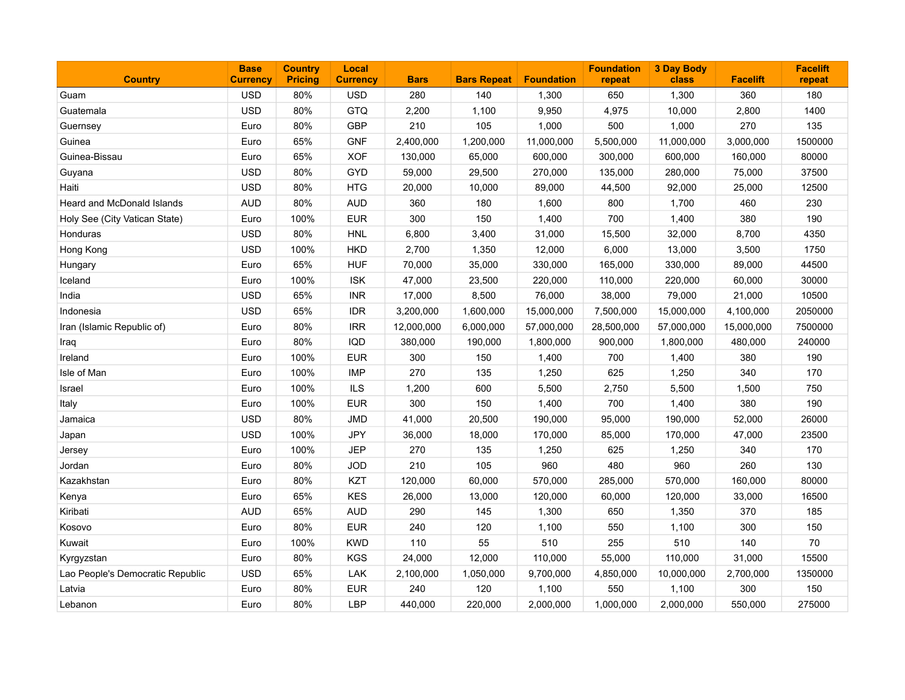| <b>Country</b>                   | <b>Base</b><br><b>Currency</b> | <b>Country</b><br><b>Pricing</b> | Local<br><b>Currency</b> | <b>Bars</b> | <b>Bars Repeat</b> | <b>Foundation</b> | <b>Foundation</b><br>repeat | <b>3 Day Body</b><br>class | <b>Facelift</b> | <b>Facelift</b><br>repeat |
|----------------------------------|--------------------------------|----------------------------------|--------------------------|-------------|--------------------|-------------------|-----------------------------|----------------------------|-----------------|---------------------------|
| Guam                             | <b>USD</b>                     | 80%                              | <b>USD</b>               | 280         | 140                | 1,300             | 650                         | 1,300                      | 360             | 180                       |
| Guatemala                        | <b>USD</b>                     | 80%                              | GTQ                      | 2,200       | 1,100              | 9,950             | 4,975                       | 10,000                     | 2,800           | 1400                      |
| Guernsey                         | Euro                           | 80%                              | <b>GBP</b>               | 210         | 105                | 1,000             | 500                         | 1,000                      | 270             | 135                       |
| Guinea                           | Euro                           | 65%                              | <b>GNF</b>               | 2,400,000   | 1,200,000          | 11,000,000        | 5,500,000                   | 11,000,000                 | 3,000,000       | 1500000                   |
| Guinea-Bissau                    | Euro                           | 65%                              | <b>XOF</b>               | 130,000     | 65,000             | 600,000           | 300,000                     | 600,000                    | 160,000         | 80000                     |
| Guyana                           | <b>USD</b>                     | 80%                              | <b>GYD</b>               | 59,000      | 29,500             | 270,000           | 135,000                     | 280,000                    | 75,000          | 37500                     |
| Haiti                            | <b>USD</b>                     | 80%                              | <b>HTG</b>               | 20,000      | 10,000             | 89,000            | 44,500                      | 92,000                     | 25,000          | 12500                     |
| Heard and McDonald Islands       | <b>AUD</b>                     | 80%                              | <b>AUD</b>               | 360         | 180                | 1,600             | 800                         | 1,700                      | 460             | 230                       |
| Holy See (City Vatican State)    | Euro                           | 100%                             | <b>EUR</b>               | 300         | 150                | 1,400             | 700                         | 1,400                      | 380             | 190                       |
| Honduras                         | <b>USD</b>                     | 80%                              | <b>HNL</b>               | 6,800       | 3,400              | 31,000            | 15,500                      | 32,000                     | 8,700           | 4350                      |
| Hong Kong                        | <b>USD</b>                     | 100%                             | <b>HKD</b>               | 2,700       | 1,350              | 12,000            | 6,000                       | 13,000                     | 3,500           | 1750                      |
| Hungary                          | Euro                           | 65%                              | <b>HUF</b>               | 70,000      | 35,000             | 330,000           | 165,000                     | 330,000                    | 89,000          | 44500                     |
| Iceland                          | Euro                           | 100%                             | <b>ISK</b>               | 47,000      | 23,500             | 220,000           | 110,000                     | 220,000                    | 60,000          | 30000                     |
| India                            | <b>USD</b>                     | 65%                              | <b>INR</b>               | 17,000      | 8,500              | 76,000            | 38,000                      | 79,000                     | 21,000          | 10500                     |
| Indonesia                        | <b>USD</b>                     | 65%                              | <b>IDR</b>               | 3,200,000   | 1,600,000          | 15,000,000        | 7,500,000                   | 15,000,000                 | 4,100,000       | 2050000                   |
| Iran (Islamic Republic of)       | Euro                           | 80%                              | <b>IRR</b>               | 12,000,000  | 6,000,000          | 57,000,000        | 28,500,000                  | 57,000,000                 | 15,000,000      | 7500000                   |
| Iraq                             | Euro                           | 80%                              | IQD                      | 380,000     | 190,000            | 1,800,000         | 900,000                     | 1,800,000                  | 480,000         | 240000                    |
| Ireland                          | Euro                           | 100%                             | <b>EUR</b>               | 300         | 150                | 1,400             | 700                         | 1,400                      | 380             | 190                       |
| Isle of Man                      | Euro                           | 100%                             | <b>IMP</b>               | 270         | 135                | 1,250             | 625                         | 1,250                      | 340             | 170                       |
| Israel                           | Euro                           | 100%                             | <b>ILS</b>               | 1,200       | 600                | 5,500             | 2,750                       | 5,500                      | 1,500           | 750                       |
| Italy                            | Euro                           | 100%                             | <b>EUR</b>               | 300         | 150                | 1,400             | 700                         | 1,400                      | 380             | 190                       |
| Jamaica                          | <b>USD</b>                     | 80%                              | <b>JMD</b>               | 41,000      | 20,500             | 190,000           | 95,000                      | 190,000                    | 52,000          | 26000                     |
| Japan                            | <b>USD</b>                     | 100%                             | <b>JPY</b>               | 36,000      | 18,000             | 170,000           | 85,000                      | 170,000                    | 47,000          | 23500                     |
| Jersey                           | Euro                           | 100%                             | <b>JEP</b>               | 270         | 135                | 1,250             | 625                         | 1,250                      | 340             | 170                       |
| Jordan                           | Euro                           | 80%                              | <b>JOD</b>               | 210         | 105                | 960               | 480                         | 960                        | 260             | 130                       |
| Kazakhstan                       | Euro                           | 80%                              | KZT                      | 120,000     | 60,000             | 570,000           | 285,000                     | 570,000                    | 160,000         | 80000                     |
| Kenya                            | Euro                           | 65%                              | <b>KES</b>               | 26,000      | 13,000             | 120,000           | 60,000                      | 120,000                    | 33,000          | 16500                     |
| Kiribati                         | <b>AUD</b>                     | 65%                              | <b>AUD</b>               | 290         | 145                | 1,300             | 650                         | 1,350                      | 370             | 185                       |
| Kosovo                           | Euro                           | 80%                              | <b>EUR</b>               | 240         | 120                | 1,100             | 550                         | 1,100                      | 300             | 150                       |
| Kuwait                           | Euro                           | 100%                             | <b>KWD</b>               | 110         | 55                 | 510               | 255                         | 510                        | 140             | 70                        |
| Kyrgyzstan                       | Euro                           | 80%                              | <b>KGS</b>               | 24,000      | 12,000             | 110,000           | 55,000                      | 110,000                    | 31,000          | 15500                     |
| Lao People's Democratic Republic | <b>USD</b>                     | 65%                              | <b>LAK</b>               | 2,100,000   | 1,050,000          | 9,700,000         | 4,850,000                   | 10,000,000                 | 2,700,000       | 1350000                   |
| Latvia                           | Euro                           | 80%                              | <b>EUR</b>               | 240         | 120                | 1,100             | 550                         | 1,100                      | 300             | 150                       |
| Lebanon                          | Euro                           | 80%                              | <b>LBP</b>               | 440,000     | 220,000            | 2,000,000         | 1,000,000                   | 2,000,000                  | 550,000         | 275000                    |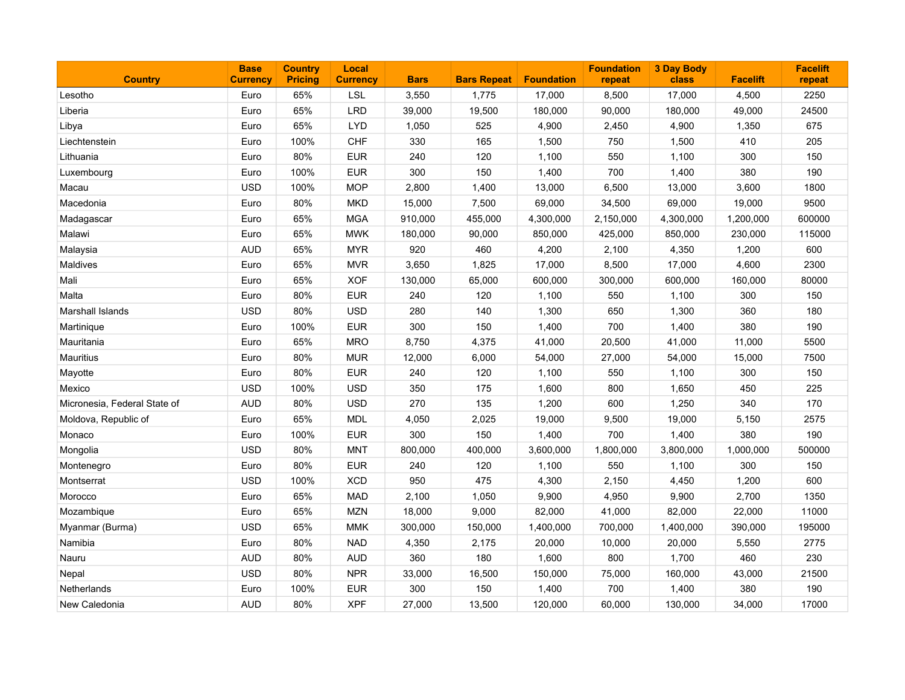| <b>Country</b>               | <b>Base</b><br><b>Currency</b> | <b>Country</b><br><b>Pricing</b> | Local<br><b>Currency</b> | <b>Bars</b> | <b>Bars Repeat</b> | <b>Foundation</b> | <b>Foundation</b><br>repeat | <b>3 Day Body</b><br>class | <b>Facelift</b> | <b>Facelift</b><br>repeat |
|------------------------------|--------------------------------|----------------------------------|--------------------------|-------------|--------------------|-------------------|-----------------------------|----------------------------|-----------------|---------------------------|
| Lesotho                      | Euro                           | 65%                              | <b>LSL</b>               | 3,550       | 1,775              | 17,000            | 8,500                       | 17,000                     | 4,500           | 2250                      |
| Liberia                      | Euro                           | 65%                              | <b>LRD</b>               | 39,000      | 19,500             | 180,000           | 90,000                      | 180,000                    | 49,000          | 24500                     |
| Libya                        | Euro                           | 65%                              | <b>LYD</b>               | 1,050       | 525                | 4,900             | 2,450                       | 4,900                      | 1,350           | 675                       |
| Liechtenstein                | Euro                           | 100%                             | <b>CHF</b>               | 330         | 165                | 1,500             | 750                         | 1,500                      | 410             | 205                       |
| Lithuania                    | Euro                           | 80%                              | <b>EUR</b>               | 240         | 120                | 1,100             | 550                         | 1,100                      | 300             | 150                       |
| Luxembourg                   | Euro                           | 100%                             | <b>EUR</b>               | 300         | 150                | 1,400             | 700                         | 1,400                      | 380             | 190                       |
| Macau                        | <b>USD</b>                     | 100%                             | <b>MOP</b>               | 2,800       | 1,400              | 13,000            | 6,500                       | 13,000                     | 3,600           | 1800                      |
| Macedonia                    | Euro                           | 80%                              | <b>MKD</b>               | 15,000      | 7,500              | 69,000            | 34,500                      | 69,000                     | 19,000          | 9500                      |
| Madagascar                   | Euro                           | 65%                              | <b>MGA</b>               | 910,000     | 455,000            | 4,300,000         | 2,150,000                   | 4,300,000                  | 1,200,000       | 600000                    |
| Malawi                       | Euro                           | 65%                              | <b>MWK</b>               | 180,000     | 90,000             | 850,000           | 425,000                     | 850,000                    | 230,000         | 115000                    |
| Malaysia                     | <b>AUD</b>                     | 65%                              | <b>MYR</b>               | 920         | 460                | 4,200             | 2,100                       | 4,350                      | 1,200           | 600                       |
| Maldives                     | Euro                           | 65%                              | <b>MVR</b>               | 3,650       | 1,825              | 17,000            | 8,500                       | 17,000                     | 4,600           | 2300                      |
| Mali                         | Euro                           | 65%                              | <b>XOF</b>               | 130,000     | 65,000             | 600,000           | 300,000                     | 600,000                    | 160,000         | 80000                     |
| Malta                        | Euro                           | 80%                              | <b>EUR</b>               | 240         | 120                | 1,100             | 550                         | 1,100                      | 300             | 150                       |
| Marshall Islands             | <b>USD</b>                     | 80%                              | <b>USD</b>               | 280         | 140                | 1,300             | 650                         | 1,300                      | 360             | 180                       |
| Martinique                   | Euro                           | 100%                             | <b>EUR</b>               | 300         | 150                | 1,400             | 700                         | 1,400                      | 380             | 190                       |
| Mauritania                   | Euro                           | 65%                              | <b>MRO</b>               | 8,750       | 4,375              | 41,000            | 20,500                      | 41,000                     | 11,000          | 5500                      |
| Mauritius                    | Euro                           | 80%                              | <b>MUR</b>               | 12,000      | 6,000              | 54,000            | 27,000                      | 54,000                     | 15,000          | 7500                      |
| Mayotte                      | Euro                           | 80%                              | <b>EUR</b>               | 240         | 120                | 1,100             | 550                         | 1,100                      | 300             | 150                       |
| Mexico                       | <b>USD</b>                     | 100%                             | <b>USD</b>               | 350         | 175                | 1,600             | 800                         | 1,650                      | 450             | 225                       |
| Micronesia, Federal State of | <b>AUD</b>                     | 80%                              | <b>USD</b>               | 270         | 135                | 1,200             | 600                         | 1,250                      | 340             | 170                       |
| Moldova, Republic of         | Euro                           | 65%                              | <b>MDL</b>               | 4,050       | 2,025              | 19,000            | 9,500                       | 19,000                     | 5,150           | 2575                      |
| Monaco                       | Euro                           | 100%                             | <b>EUR</b>               | 300         | 150                | 1,400             | 700                         | 1,400                      | 380             | 190                       |
| Mongolia                     | <b>USD</b>                     | 80%                              | <b>MNT</b>               | 800,000     | 400,000            | 3,600,000         | 1,800,000                   | 3,800,000                  | 1,000,000       | 500000                    |
| Montenegro                   | Euro                           | 80%                              | <b>EUR</b>               | 240         | 120                | 1,100             | 550                         | 1,100                      | 300             | 150                       |
| Montserrat                   | <b>USD</b>                     | 100%                             | <b>XCD</b>               | 950         | 475                | 4,300             | 2,150                       | 4,450                      | 1,200           | 600                       |
| Morocco                      | Euro                           | 65%                              | <b>MAD</b>               | 2,100       | 1,050              | 9,900             | 4,950                       | 9,900                      | 2,700           | 1350                      |
| Mozambique                   | Euro                           | 65%                              | <b>MZN</b>               | 18,000      | 9,000              | 82,000            | 41,000                      | 82,000                     | 22,000          | 11000                     |
| Myanmar (Burma)              | <b>USD</b>                     | 65%                              | <b>MMK</b>               | 300,000     | 150,000            | 1,400,000         | 700,000                     | 1,400,000                  | 390,000         | 195000                    |
| Namibia                      | Euro                           | 80%                              | <b>NAD</b>               | 4,350       | 2,175              | 20,000            | 10,000                      | 20,000                     | 5,550           | 2775                      |
| Nauru                        | <b>AUD</b>                     | 80%                              | <b>AUD</b>               | 360         | 180                | 1,600             | 800                         | 1,700                      | 460             | 230                       |
| Nepal                        | <b>USD</b>                     | 80%                              | <b>NPR</b>               | 33,000      | 16,500             | 150,000           | 75,000                      | 160,000                    | 43,000          | 21500                     |
| Netherlands                  | Euro                           | 100%                             | <b>EUR</b>               | 300         | 150                | 1,400             | 700                         | 1,400                      | 380             | 190                       |
| New Caledonia                | <b>AUD</b>                     | 80%                              | <b>XPF</b>               | 27,000      | 13,500             | 120,000           | 60,000                      | 130,000                    | 34,000          | 17000                     |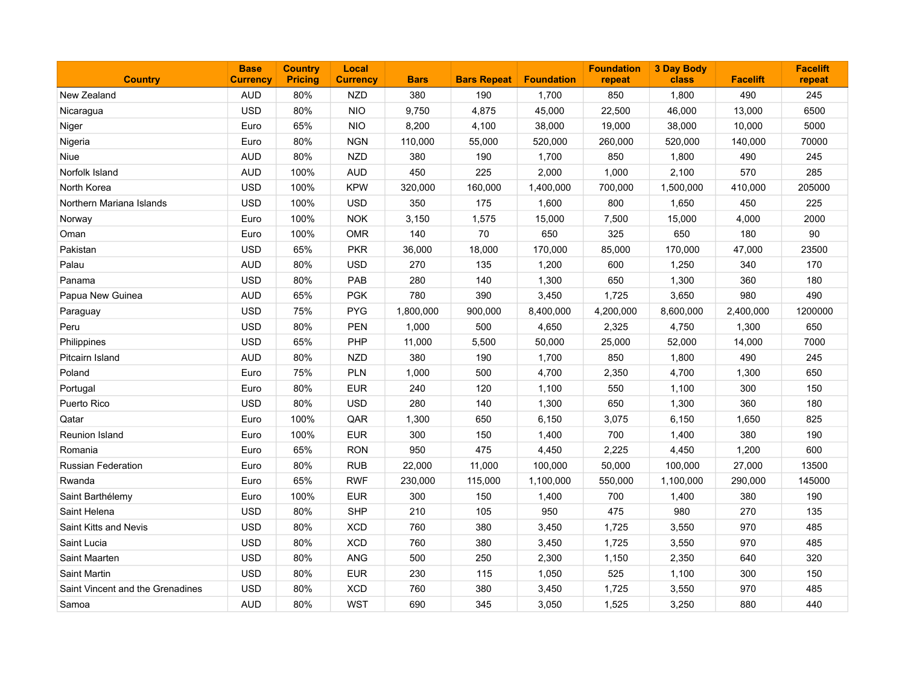| <b>Country</b>                   | <b>Base</b><br><b>Currency</b> | <b>Country</b><br><b>Pricing</b> | Local<br><b>Currency</b> | <b>Bars</b> | <b>Bars Repeat</b> | <b>Foundation</b> | <b>Foundation</b><br>repeat | <b>3 Day Body</b><br>class | <b>Facelift</b> | <b>Facelift</b><br>repeat |
|----------------------------------|--------------------------------|----------------------------------|--------------------------|-------------|--------------------|-------------------|-----------------------------|----------------------------|-----------------|---------------------------|
| New Zealand                      | AUD                            | 80%                              | <b>NZD</b>               | 380         | 190                | 1,700             | 850                         | 1,800                      | 490             | 245                       |
| Nicaragua                        | <b>USD</b>                     | 80%                              | <b>NIO</b>               | 9,750       | 4,875              | 45,000            | 22,500                      | 46,000                     | 13,000          | 6500                      |
| Niger                            | Euro                           | 65%                              | <b>NIO</b>               | 8,200       | 4,100              | 38,000            | 19,000                      | 38,000                     | 10,000          | 5000                      |
| Nigeria                          | Euro                           | 80%                              | <b>NGN</b>               | 110,000     | 55,000             | 520,000           | 260,000                     | 520,000                    | 140,000         | 70000                     |
| Niue                             | <b>AUD</b>                     | 80%                              | <b>NZD</b>               | 380         | 190                | 1,700             | 850                         | 1,800                      | 490             | 245                       |
| Norfolk Island                   | <b>AUD</b>                     | 100%                             | <b>AUD</b>               | 450         | 225                | 2,000             | 1,000                       | 2,100                      | 570             | 285                       |
| North Korea                      | <b>USD</b>                     | 100%                             | <b>KPW</b>               | 320,000     | 160,000            | 1,400,000         | 700,000                     | 1,500,000                  | 410,000         | 205000                    |
| Northern Mariana Islands         | <b>USD</b>                     | 100%                             | <b>USD</b>               | 350         | 175                | 1,600             | 800                         | 1,650                      | 450             | 225                       |
| Norway                           | Euro                           | 100%                             | <b>NOK</b>               | 3,150       | 1,575              | 15,000            | 7,500                       | 15,000                     | 4,000           | 2000                      |
| Oman                             | Euro                           | 100%                             | <b>OMR</b>               | 140         | 70                 | 650               | 325                         | 650                        | 180             | 90                        |
| Pakistan                         | <b>USD</b>                     | 65%                              | <b>PKR</b>               | 36,000      | 18,000             | 170,000           | 85,000                      | 170,000                    | 47,000          | 23500                     |
| Palau                            | <b>AUD</b>                     | 80%                              | <b>USD</b>               | 270         | 135                | 1,200             | 600                         | 1,250                      | 340             | 170                       |
| Panama                           | <b>USD</b>                     | 80%                              | PAB                      | 280         | 140                | 1,300             | 650                         | 1,300                      | 360             | 180                       |
| Papua New Guinea                 | <b>AUD</b>                     | 65%                              | <b>PGK</b>               | 780         | 390                | 3,450             | 1,725                       | 3,650                      | 980             | 490                       |
| Paraguay                         | <b>USD</b>                     | 75%                              | <b>PYG</b>               | 1,800,000   | 900,000            | 8,400,000         | 4,200,000                   | 8,600,000                  | 2,400,000       | 1200000                   |
| Peru                             | <b>USD</b>                     | 80%                              | <b>PEN</b>               | 1,000       | 500                | 4,650             | 2,325                       | 4,750                      | 1,300           | 650                       |
| Philippines                      | <b>USD</b>                     | 65%                              | PHP                      | 11,000      | 5,500              | 50,000            | 25,000                      | 52,000                     | 14,000          | 7000                      |
| Pitcairn Island                  | <b>AUD</b>                     | 80%                              | <b>NZD</b>               | 380         | 190                | 1,700             | 850                         | 1,800                      | 490             | 245                       |
| Poland                           | Euro                           | 75%                              | PLN                      | 1,000       | 500                | 4,700             | 2,350                       | 4,700                      | 1,300           | 650                       |
| Portugal                         | Euro                           | 80%                              | <b>EUR</b>               | 240         | 120                | 1,100             | 550                         | 1,100                      | 300             | 150                       |
| Puerto Rico                      | <b>USD</b>                     | 80%                              | <b>USD</b>               | 280         | 140                | 1,300             | 650                         | 1,300                      | 360             | 180                       |
| Qatar                            | Euro                           | 100%                             | QAR                      | 1,300       | 650                | 6,150             | 3,075                       | 6,150                      | 1,650           | 825                       |
| <b>Reunion Island</b>            | Euro                           | 100%                             | <b>EUR</b>               | 300         | 150                | 1,400             | 700                         | 1,400                      | 380             | 190                       |
| Romania                          | Euro                           | 65%                              | <b>RON</b>               | 950         | 475                | 4,450             | 2,225                       | 4,450                      | 1,200           | 600                       |
| Russian Federation               | Euro                           | 80%                              | <b>RUB</b>               | 22,000      | 11,000             | 100,000           | 50,000                      | 100,000                    | 27,000          | 13500                     |
| Rwanda                           | Euro                           | 65%                              | <b>RWF</b>               | 230,000     | 115,000            | 1,100,000         | 550,000                     | 1,100,000                  | 290,000         | 145000                    |
| Saint Barthélemy                 | Euro                           | 100%                             | <b>EUR</b>               | 300         | 150                | 1,400             | 700                         | 1,400                      | 380             | 190                       |
| Saint Helena                     | <b>USD</b>                     | 80%                              | <b>SHP</b>               | 210         | 105                | 950               | 475                         | 980                        | 270             | 135                       |
| Saint Kitts and Nevis            | <b>USD</b>                     | 80%                              | <b>XCD</b>               | 760         | 380                | 3,450             | 1,725                       | 3,550                      | 970             | 485                       |
| Saint Lucia                      | <b>USD</b>                     | 80%                              | <b>XCD</b>               | 760         | 380                | 3,450             | 1,725                       | 3,550                      | 970             | 485                       |
| Saint Maarten                    | <b>USD</b>                     | 80%                              | ANG                      | 500         | 250                | 2,300             | 1,150                       | 2,350                      | 640             | 320                       |
| <b>Saint Martin</b>              | <b>USD</b>                     | 80%                              | <b>EUR</b>               | 230         | 115                | 1,050             | 525                         | 1,100                      | 300             | 150                       |
| Saint Vincent and the Grenadines | <b>USD</b>                     | 80%                              | <b>XCD</b>               | 760         | 380                | 3,450             | 1,725                       | 3,550                      | 970             | 485                       |
| Samoa                            | <b>AUD</b>                     | 80%                              | <b>WST</b>               | 690         | 345                | 3,050             | 1,525                       | 3,250                      | 880             | 440                       |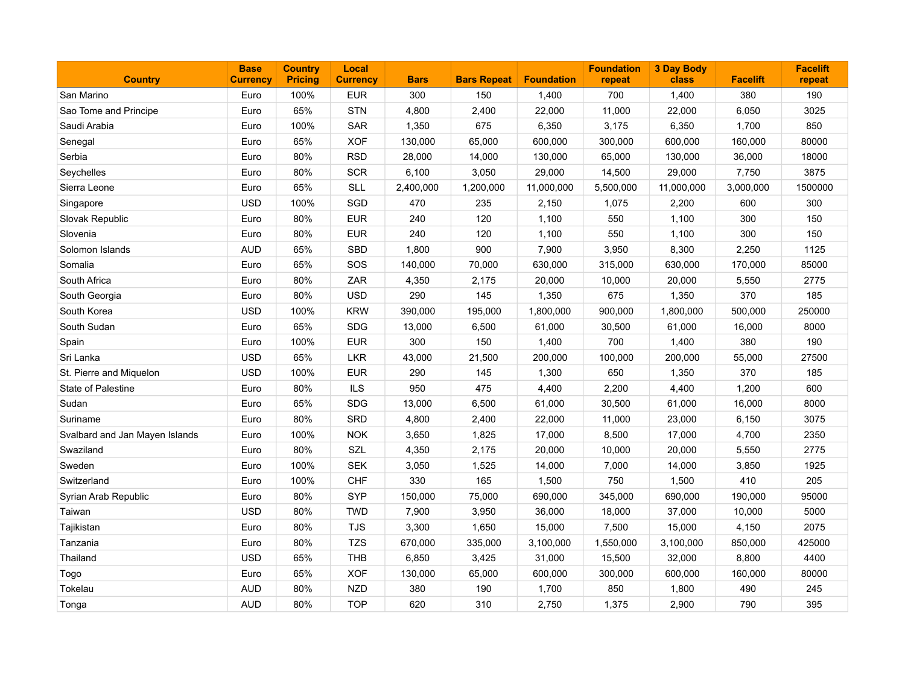| <b>Country</b>                 | <b>Base</b><br><b>Currency</b> | <b>Country</b><br><b>Pricing</b> | Local<br><b>Currency</b> | <b>Bars</b> | <b>Bars Repeat</b> | <b>Foundation</b> | <b>Foundation</b><br>repeat | <b>3 Day Body</b><br>class | <b>Facelift</b> | <b>Facelift</b><br>repeat |
|--------------------------------|--------------------------------|----------------------------------|--------------------------|-------------|--------------------|-------------------|-----------------------------|----------------------------|-----------------|---------------------------|
| San Marino                     | Euro                           | 100%                             | <b>EUR</b>               | 300         | 150                | 1,400             | 700                         | 1,400                      | 380             | 190                       |
| Sao Tome and Principe          | Euro                           | 65%                              | <b>STN</b>               | 4,800       | 2,400              | 22,000            | 11,000                      | 22,000                     | 6,050           | 3025                      |
| Saudi Arabia                   | Euro                           | 100%                             | SAR                      | 1,350       | 675                | 6,350             | 3,175                       | 6,350                      | 1,700           | 850                       |
| Senegal                        | Euro                           | 65%                              | <b>XOF</b>               | 130,000     | 65,000             | 600,000           | 300,000                     | 600,000                    | 160,000         | 80000                     |
| Serbia                         | Euro                           | 80%                              | <b>RSD</b>               | 28,000      | 14,000             | 130,000           | 65,000                      | 130,000                    | 36,000          | 18000                     |
| Seychelles                     | Euro                           | 80%                              | <b>SCR</b>               | 6,100       | 3,050              | 29,000            | 14,500                      | 29,000                     | 7,750           | 3875                      |
| Sierra Leone                   | Euro                           | 65%                              | <b>SLL</b>               | 2,400,000   | 1,200,000          | 11,000,000        | 5,500,000                   | 11,000,000                 | 3,000,000       | 1500000                   |
| Singapore                      | <b>USD</b>                     | 100%                             | SGD                      | 470         | 235                | 2,150             | 1,075                       | 2,200                      | 600             | 300                       |
| Slovak Republic                | Euro                           | 80%                              | <b>EUR</b>               | 240         | 120                | 1,100             | 550                         | 1,100                      | 300             | 150                       |
| Slovenia                       | Euro                           | 80%                              | <b>EUR</b>               | 240         | 120                | 1,100             | 550                         | 1,100                      | 300             | 150                       |
| Solomon Islands                | <b>AUD</b>                     | 65%                              | SBD                      | 1,800       | 900                | 7,900             | 3,950                       | 8,300                      | 2,250           | 1125                      |
| Somalia                        | Euro                           | 65%                              | SOS                      | 140,000     | 70,000             | 630,000           | 315,000                     | 630,000                    | 170,000         | 85000                     |
| South Africa                   | Euro                           | 80%                              | ZAR                      | 4,350       | 2,175              | 20,000            | 10,000                      | 20,000                     | 5,550           | 2775                      |
| South Georgia                  | Euro                           | 80%                              | <b>USD</b>               | 290         | 145                | 1,350             | 675                         | 1,350                      | 370             | 185                       |
| South Korea                    | <b>USD</b>                     | 100%                             | <b>KRW</b>               | 390,000     | 195,000            | 1,800,000         | 900,000                     | 1,800,000                  | 500,000         | 250000                    |
| South Sudan                    | Euro                           | 65%                              | <b>SDG</b>               | 13,000      | 6,500              | 61,000            | 30,500                      | 61,000                     | 16,000          | 8000                      |
| Spain                          | Euro                           | 100%                             | <b>EUR</b>               | 300         | 150                | 1,400             | 700                         | 1,400                      | 380             | 190                       |
| Sri Lanka                      | <b>USD</b>                     | 65%                              | <b>LKR</b>               | 43,000      | 21,500             | 200,000           | 100,000                     | 200,000                    | 55,000          | 27500                     |
| St. Pierre and Miquelon        | <b>USD</b>                     | 100%                             | <b>EUR</b>               | 290         | 145                | 1,300             | 650                         | 1,350                      | 370             | 185                       |
| State of Palestine             | Euro                           | 80%                              | <b>ILS</b>               | 950         | 475                | 4,400             | 2,200                       | 4,400                      | 1,200           | 600                       |
| Sudan                          | Euro                           | 65%                              | <b>SDG</b>               | 13,000      | 6,500              | 61,000            | 30,500                      | 61,000                     | 16,000          | 8000                      |
| Suriname                       | Euro                           | 80%                              | <b>SRD</b>               | 4,800       | 2,400              | 22,000            | 11,000                      | 23,000                     | 6,150           | 3075                      |
| Svalbard and Jan Mayen Islands | Euro                           | 100%                             | <b>NOK</b>               | 3,650       | 1,825              | 17,000            | 8,500                       | 17,000                     | 4,700           | 2350                      |
| Swaziland                      | Euro                           | 80%                              | SZL                      | 4,350       | 2,175              | 20,000            | 10,000                      | 20,000                     | 5,550           | 2775                      |
| Sweden                         | Euro                           | 100%                             | <b>SEK</b>               | 3,050       | 1,525              | 14,000            | 7,000                       | 14,000                     | 3,850           | 1925                      |
| Switzerland                    | Euro                           | 100%                             | CHF                      | 330         | 165                | 1,500             | 750                         | 1,500                      | 410             | 205                       |
| Syrian Arab Republic           | Euro                           | 80%                              | <b>SYP</b>               | 150,000     | 75,000             | 690,000           | 345,000                     | 690,000                    | 190,000         | 95000                     |
| Taiwan                         | <b>USD</b>                     | 80%                              | <b>TWD</b>               | 7,900       | 3,950              | 36,000            | 18,000                      | 37,000                     | 10,000          | 5000                      |
| Tajikistan                     | Euro                           | 80%                              | <b>TJS</b>               | 3,300       | 1,650              | 15,000            | 7,500                       | 15,000                     | 4,150           | 2075                      |
| Tanzania                       | Euro                           | 80%                              | <b>TZS</b>               | 670,000     | 335,000            | 3,100,000         | 1,550,000                   | 3,100,000                  | 850,000         | 425000                    |
| Thailand                       | <b>USD</b>                     | 65%                              | THB                      | 6,850       | 3,425              | 31,000            | 15,500                      | 32,000                     | 8,800           | 4400                      |
| Togo                           | Euro                           | 65%                              | <b>XOF</b>               | 130,000     | 65,000             | 600,000           | 300,000                     | 600,000                    | 160,000         | 80000                     |
| Tokelau                        | <b>AUD</b>                     | 80%                              | <b>NZD</b>               | 380         | 190                | 1,700             | 850                         | 1,800                      | 490             | 245                       |
| Tonga                          | <b>AUD</b>                     | 80%                              | <b>TOP</b>               | 620         | 310                | 2,750             | 1,375                       | 2,900                      | 790             | 395                       |